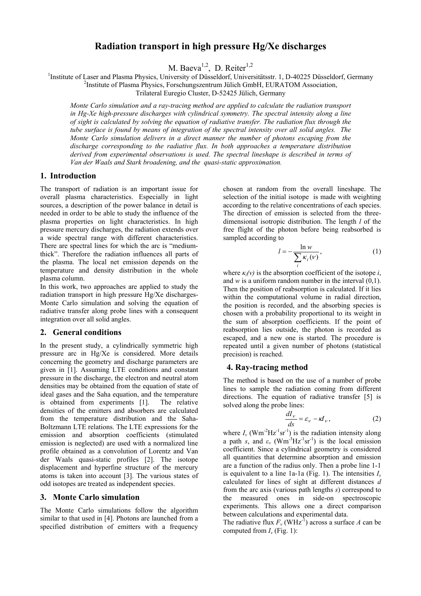# **Radiation transport in high pressure Hg/Xe discharges**

M. Baeva<sup>1,2</sup>, D. Reiter<sup>1,2</sup>

<sup>1</sup>Institute of Laser and Plasma Physics, University of Düsseldorf, Universitätsstr. 1, D-40225 Düsseldorf, Germany  $\frac{2 \text{Institute of Plasma Physics}}{2 \text{In our Comparison}}$ 

<sup>2</sup>Institute of Plasma Physics, Forschungszentrum Jülich GmbH, EURATOM Association,

Trilateral Euregio Cluster, D-52425 Jülich, Germany

*Monte Carlo simulation and a ray-tracing method are applied to calculate the radiation transport in Hg-Xe high-pressure discharges with cylindrical symmetry. The spectral intensity along a line of sight is calculated by solving the equation of radiative transfer. The radiation flux through the tube surface is found by means of integration of the spectral intensity over all solid angles. The Monte Carlo simulation delivers in a direct manner the number of photons escaping from the discharge corresponding to the radiative flux. In both approaches a temperature distribution derived from experimental observations is used. The spectral lineshape is described in terms of Van der Waals and Stark broadening, and the quasi-static approximation.*

# **1.****Introduction**

The transport of radiation is an important issue for overall plasma characteristics. Especially in light sources, a description of the power balance in detail is needed in order to be able to study the influence of the plasma properties on light characteristics. In high pressure mercury discharges, the radiation extends over a wide spectral range with different characteristics. There are spectral lines for which the arc is "mediumthick". Therefore the radiation influences all parts of the plasma. The local net emission depends on the temperature and density distribution in the whole plasma column.

In this work, two approaches are applied to study the radiation transport in high pressure Hg/Xe discharges-Monte Carlo simulation and solving the equation of radiative transfer along probe lines with a consequent integration over all solid angles.

#### **2. General conditions**

In the present study, a cylindrically symmetric high pressure arc in Hg/Xe is considered. More details concerning the geometry and discharge parameters are given in [1]. Assuming LTE conditions and constant pressure in the discharge, the electron and neutral atom densities may be obtained from the equation of state of ideal gases and the Saha equation, and the temperature is obtained from experiments [1]. The relative densities of the emitters and absorbers are calculated from the temperature distribution and the Saha-Boltzmann LTE relations. The LTE expressions for the emission and absorption coefficients (stimulated emission is neglected) are used with a normalized line profile obtained as a convolution of Lorentz and Van der Waals quasi-static profiles [2]. The isotope displacement and hyperfine structure of the mercury atoms is taken into account [3]. The various states of odd isotopes are treated as independent species.

## **3. Monte Carlo simulation**

The Monte Carlo simulations follow the algorithm similar to that used in [4]. Photons are launched from a specified distribution of emitters with a frequency chosen at random from the overall lineshape. The selection of the initial isotope is made with weighting according to the relative concentrations of each species. The direction of emission is selected from the threedimensional isotropic distribution. The length *l* of the free flight of the photon before being reabsorbed is sampled according to

$$
l = -\frac{\ln w}{\sum_{i} \kappa_{i}(v)},
$$
 (1)

where  $\kappa_i(v)$  is the absorption coefficient of the isotope *i*, and  $w$  is a uniform random number in the interval  $(0,1)$ . Then the position of reabsorption is calculated. If it lies within the computational volume in radial direction, the position is recorded, and the absorbing species is chosen with a probability proportional to its weight in the sum of absorption coefficients. If the point of reabsorption lies outside, the photon is recorded as escaped, and a new one is started. The procedure is repeated until a given number of photons (statistical precision) is reached.

#### **4. Ray-tracing method**

The method is based on the use of a number of probe lines to sample the radiation coming from different directions. The equation of radiative transfer [5] is solved along the probe lines:

$$
\frac{dI_{\nu}}{ds} = \varepsilon_{\nu} - \kappa I_{\nu},\tag{2}
$$

where  $I_v$  (Wm<sup>-2</sup>Hz<sup>-1</sup>sr<sup>-1</sup>) is the radiation intensity along a path *s*, and  $\varepsilon$ <sup>*v*</sup> (Wm<sup>-3</sup>Hz<sup>-1</sup>sr<sup>-1</sup>) is the local emission coefficient. Since a cylindrical geometry is considered all quantities that determine absorption and emission are a function of the radius only. Then a probe line 1-1 is equivalent to a line 1a-1a (Fig. 1). The intensities *I<sup>ν</sup>* calculated for lines of sight at different distances *d* from the arc axis (various path lengths *s*) correspond to the measured ones in side-on spectroscopic experiments. This allows one a direct comparison between calculations and experimental data.

The radiative flux  $F_v$  (WHz<sup>-1</sup>) across a surface *A* can be computed from  $I_v$  (Fig. 1):